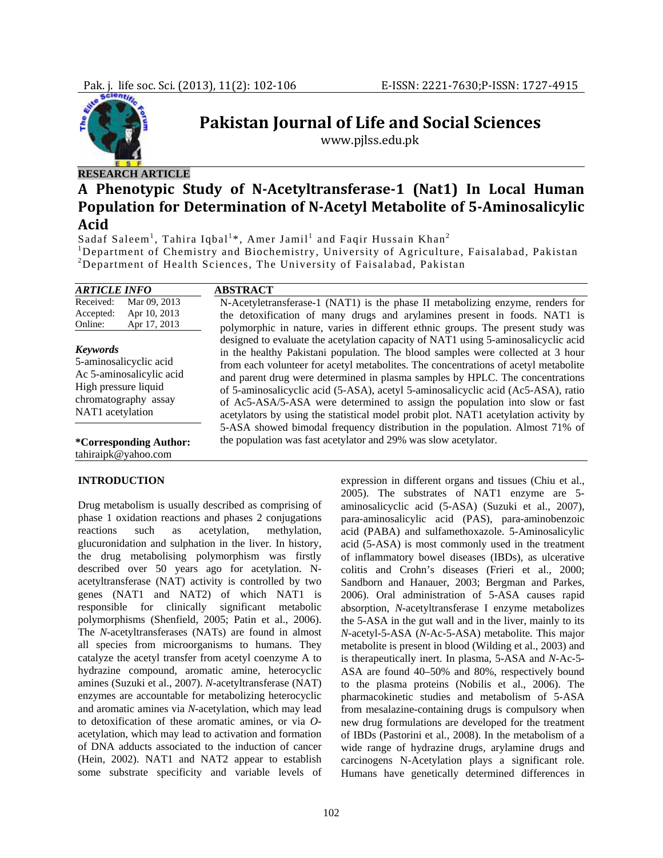

**Pakistan Journal of Life and Social Sciences**

www.pjlss.edu.pk

## **RESEARCH ARTICLE**

**INTRODUCTION** 

# **A Phenotypic Study of NAcetyltransferase1 (Nat1) In Local Human Population for Determination of NAcetyl Metabolite of 5Aminosalicylic Acid**

Sadaf Saleem<sup>1</sup>, Tahira Iqbal<sup>1</sup>\*, Amer Jamil<sup>1</sup> and Faqir Hussain Khan<sup>2</sup>

<sup>1</sup>Department of Chemistry and Biochemistry, University of Agriculture, Faisalabad, Pakistan 2 Department of Health Sciences, The University of Faisalabad, Pakistan

| <b>ARTICLE INFO</b>                                                                                                                       | <b>ABSTRACT</b>                                                                                                                                                                                                                                                                                                                                                                                                                                                                                                                                                                                           |
|-------------------------------------------------------------------------------------------------------------------------------------------|-----------------------------------------------------------------------------------------------------------------------------------------------------------------------------------------------------------------------------------------------------------------------------------------------------------------------------------------------------------------------------------------------------------------------------------------------------------------------------------------------------------------------------------------------------------------------------------------------------------|
| Received:<br>Mar 09, 2013<br>Apr 10, 2013<br>Accepted:<br>Online:<br>Apr 17, 2013                                                         | N-Acetyletransferase-1 (NAT1) is the phase II metabolizing enzyme, renders for<br>the detoxification of many drugs and arylamines present in foods. NAT1 is<br>polymorphic in nature, varies in different ethnic groups. The present study was                                                                                                                                                                                                                                                                                                                                                            |
| <b>Keywords</b><br>5-aminosalicyclic acid<br>Ac 5-aminosalicylic acid<br>High pressure liquid<br>chromatography assay<br>NAT1 acetylation | designed to evaluate the acetylation capacity of NAT1 using 5-aminosalicyclic acid<br>in the healthy Pakistani population. The blood samples were collected at 3 hour<br>from each volunteer for acetyl metabolites. The concentrations of acetyl metabolite<br>and parent drug were determined in plasma samples by HPLC. The concentrations<br>of 5-aminosalicyclic acid (5-ASA), acetyl 5-aminosalicyclic acid (Ac5-ASA), ratio<br>of Ac5-ASA/5-ASA were determined to assign the population into slow or fast<br>acetylators by using the statistical model probit plot. NAT1 acetylation activity by |
| *Corresponding Author:<br>tahiraipk@yahoo.com                                                                                             | 5-ASA showed bimodal frequency distribution in the population. Almost 71% of<br>the population was fast acetylator and 29% was slow acetylator.                                                                                                                                                                                                                                                                                                                                                                                                                                                           |

Drug metabolism is usually described as comprising of phase 1 oxidation reactions and phases 2 conjugations reactions such as acetylation, methylation, glucuronidation and sulphation in the liver. In history, the drug metabolising polymorphism was firstly described over 50 years ago for acetylation. Nacetyltransferase (NAT) activity is controlled by two genes (NAT1 and NAT2) of which NAT1 is responsible for clinically significant metabolic polymorphisms (Shenfield, 2005; Patin et al., 2006). The *N*-acetyltransferases (NATs) are found in almost all species from microorganisms to humans. They catalyze the acetyl transfer from acetyl coenzyme A to hydrazine compound, aromatic amine, heterocyclic amines (Suzuki et al., 2007). *N*-acetyltransferase (NAT) enzymes are accountable for metabolizing heterocyclic and aromatic amines via *N*-acetylation, which may lead to detoxification of these aromatic amines, or via *O*acetylation, which may lead to activation and formation of DNA adducts associated to the induction of cancer (Hein, 2002). NAT1 and NAT2 appear to establish some substrate specificity and variable levels of expression in different organs and tissues (Chiu et al., 2005). The substrates of NAT1 enzyme are 5 aminosalicyclic acid (5-ASA) (Suzuki et al., 2007), para-aminosalicylic acid (PAS), para-aminobenzoic acid (PABA) and sulfamethoxazole. 5-Aminosalicylic acid (5-ASA) is most commonly used in the treatment of inflammatory bowel diseases (IBDs), as ulcerative colitis and Crohn's diseases (Frieri et al., 2000; Sandborn and Hanauer, 2003; Bergman and Parkes, 2006). Oral administration of 5-ASA causes rapid absorption, *N*-acetyltransferase I enzyme metabolizes the 5-ASA in the gut wall and in the liver, mainly to its *N*-acetyl-5-ASA (*N*-Ac-5-ASA) metabolite. This major metabolite is present in blood (Wilding et al., 2003) and is therapeutically inert. In plasma, 5-ASA and *N*-Ac-5- ASA are found 40–50% and 80%, respectively bound to the plasma proteins (Nobilis et al., 2006). The pharmacokinetic studies and metabolism of 5-ASA from mesalazine-containing drugs is compulsory when new drug formulations are developed for the treatment of IBDs (Pastorini et al*.,* 2008). In the metabolism of a wide range of hydrazine drugs, arylamine drugs and carcinogens N-Acetylation plays a significant role. Humans have genetically determined differences in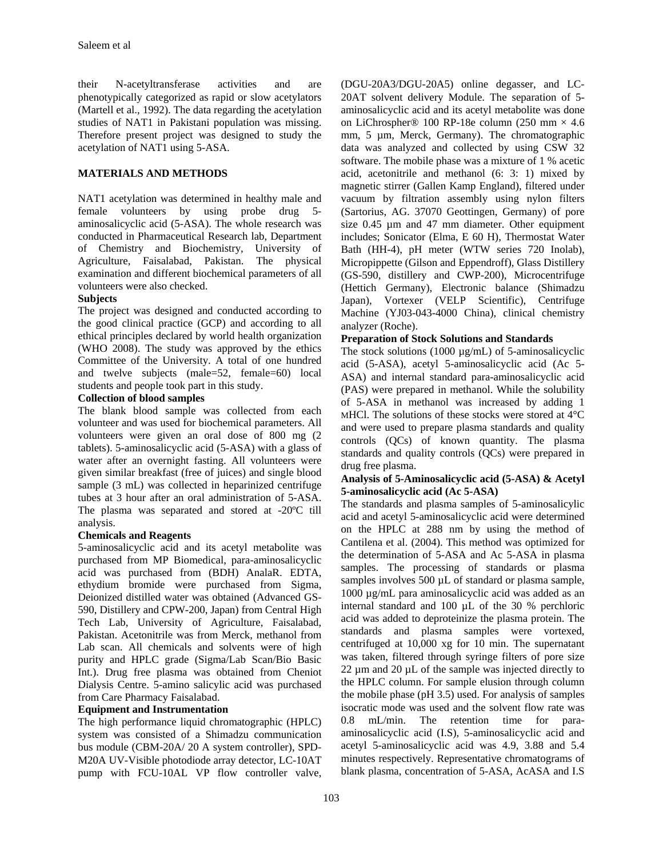their N-acetyltransferase activities and are phenotypically categorized as rapid or slow acetylators (Martell et al., 1992). The data regarding the acetylation studies of NAT1 in Pakistani population was missing. Therefore present project was designed to study the acetylation of NAT1 using 5-ASA.

## **MATERIALS AND METHODS**

NAT1 acetylation was determined in healthy male and female volunteers by using probe drug 5 aminosalicyclic acid (5-ASA). The whole research was conducted in Pharmaceutical Research lab, Department of Chemistry and Biochemistry, University of Agriculture, Faisalabad, Pakistan. The physical examination and different biochemical parameters of all volunteers were also checked.

## **Subjects**

The project was designed and conducted according to the good clinical practice (GCP) and according to all ethical principles declared by world health organization (WHO 2008). The study was approved by the ethics Committee of the University. A total of one hundred and twelve subjects (male=52, female=60) local students and people took part in this study.

#### **Collection of blood samples**

The blank blood sample was collected from each volunteer and was used for biochemical parameters. All volunteers were given an oral dose of 800 mg (2 tablets). 5-aminosalicyclic acid (5-ASA) with a glass of water after an overnight fasting. All volunteers were given similar breakfast (free of juices) and single blood sample (3 mL) was collected in heparinized centrifuge tubes at 3 hour after an oral administration of 5-ASA. The plasma was separated and stored at -20ºC till analysis.

## **Chemicals and Reagents**

5-aminosalicyclic acid and its acetyl metabolite was purchased from MP Biomedical, para-aminosalicyclic acid was purchased from (BDH) AnalaR. EDTA, ethydium bromide were purchased from Sigma, Deionized distilled water was obtained (Advanced GS-590, Distillery and CPW-200, Japan) from Central High Tech Lab, University of Agriculture, Faisalabad, Pakistan. Acetonitrile was from Merck, methanol from Lab scan. All chemicals and solvents were of high purity and HPLC grade (Sigma/Lab Scan/Bio Basic Int.). Drug free plasma was obtained from Cheniot Dialysis Centre. 5-amino salicylic acid was purchased from Care Pharmacy Faisalabad.

#### **Equipment and Instrumentation**

The high performance liquid chromatographic (HPLC) system was consisted of a Shimadzu communication bus module (CBM-20A/ 20 A system controller), SPD-M20A UV-Visible photodiode array detector, LC-10AT pump with FCU-10AL VP flow controller valve,

(DGU-20A3/DGU-20A5) online degasser, and LC-20AT solvent delivery Module. The separation of 5 aminosalicyclic acid and its acetyl metabolite was done on LiChrospher® 100 RP-18e column (250 mm  $\times$  4.6 mm, 5 µm, Merck, Germany). The chromatographic data was analyzed and collected by using CSW 32 software. The mobile phase was a mixture of 1 % acetic acid, acetonitrile and methanol (6: 3: 1) mixed by magnetic stirrer (Gallen Kamp England), filtered under vacuum by filtration assembly using nylon filters (Sartorius, AG. 37070 Geottingen, Germany) of pore size 0.45 µm and 47 mm diameter. Other equipment includes; Sonicator (Elma, E 60 H), Thermostat Water Bath (HH-4), pH meter (WTW series 720 Inolab), Micropippette (Gilson and Eppendroff), Glass Distillery (GS-590, distillery and CWP-200), Microcentrifuge (Hettich Germany), Electronic balance (Shimadzu Japan), Vortexer (VELP Scientific), Centrifuge Machine (YJ03-043-4000 China), clinical chemistry analyzer (Roche).

#### **Preparation of Stock Solutions and Standards**

The stock solutions (1000 µg/mL) of 5-aminosalicyclic acid (5-ASA), acetyl 5-aminosalicyclic acid (Ac 5- ASA) and internal standard para-aminosalicyclic acid (PAS) were prepared in methanol. While the solubility of 5-ASA in methanol was increased by adding 1 MHCl. The solutions of these stocks were stored at 4°C and were used to prepare plasma standards and quality controls (QCs) of known quantity. The plasma standards and quality controls (QCs) were prepared in drug free plasma.

#### **Analysis of 5-Aminosalicyclic acid (5-ASA) & Acetyl 5-aminosalicyclic acid (Ac 5-ASA)**

The standards and plasma samples of 5-aminosalicylic acid and acetyl 5-aminosalicyclic acid were determined on the HPLC at 288 nm by using the method of Cantilena et al. (2004). This method was optimized for the determination of 5-ASA and Ac 5-ASA in plasma samples. The processing of standards or plasma samples involves 500  $\mu$ L of standard or plasma sample, 1000 µg/mL para aminosalicyclic acid was added as an internal standard and 100 µL of the 30 % perchloric acid was added to deproteinize the plasma protein. The standards and plasma samples were vortexed, centrifuged at 10,000 xg for 10 min. The supernatant was taken, filtered through syringe filters of pore size  $22 \mu$ m and  $20 \mu$ L of the sample was injected directly to the HPLC column. For sample elusion through column the mobile phase (pH 3.5) used. For analysis of samples isocratic mode was used and the solvent flow rate was 0.8 mL/min. The retention time for paraaminosalicyclic acid (I.S), 5-aminosalicyclic acid and acetyl 5-aminosalicyclic acid was 4.9, 3.88 and 5.4 minutes respectively. Representative chromatograms of blank plasma, concentration of 5-ASA, AcASA and I.S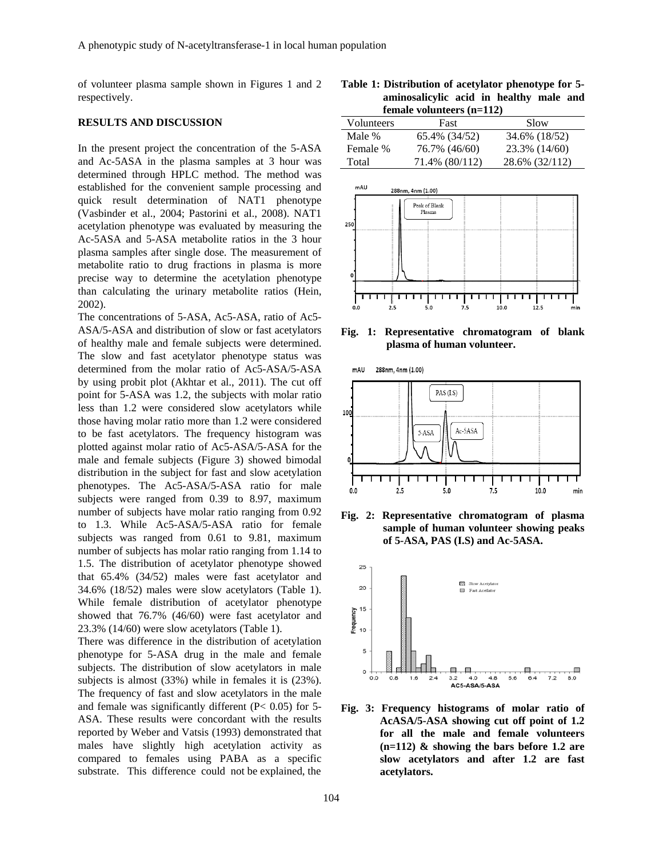of volunteer plasma sample shown in Figures 1 and 2 respectively.

#### **RESULTS AND DISCUSSION**

In the present project the concentration of the 5-ASA and Ac-5ASA in the plasma samples at 3 hour was determined through HPLC method. The method was established for the convenient sample processing and quick result determination of NAT1 phenotype (Vasbinder et al., 2004; Pastorini et al., 2008). NAT1 acetylation phenotype was evaluated by measuring the Ac-5ASA and 5-ASA metabolite ratios in the 3 hour plasma samples after single dose. The measurement of metabolite ratio to drug fractions in plasma is more precise way to determine the acetylation phenotype than calculating the urinary metabolite ratios (Hein, 2002).

The concentrations of 5-ASA, Ac5-ASA, ratio of Ac5- ASA/5-ASA and distribution of slow or fast acetylators of healthy male and female subjects were determined. The slow and fast acetylator phenotype status was determined from the molar ratio of Ac5-ASA/5-ASA by using probit plot (Akhtar et al., 2011). The cut off point for 5-ASA was 1.2, the subjects with molar ratio less than 1.2 were considered slow acetylators while those having molar ratio more than 1.2 were considered to be fast acetylators. The frequency histogram was plotted against molar ratio of Ac5-ASA/5-ASA for the male and female subjects (Figure 3) showed bimodal distribution in the subject for fast and slow acetylation phenotypes. The Ac5-ASA/5-ASA ratio for male subjects were ranged from 0.39 to 8.97, maximum number of subjects have molar ratio ranging from 0.92 to 1.3. While Ac5-ASA/5-ASA ratio for female subjects was ranged from 0.61 to 9.81, maximum number of subjects has molar ratio ranging from 1.14 to 1.5. The distribution of acetylator phenotype showed that 65.4% (34/52) males were fast acetylator and 34.6% (18/52) males were slow acetylators (Table 1). While female distribution of acetylator phenotype showed that 76.7% (46/60) were fast acetylator and 23.3% (14/60) were slow acetylators (Table 1).

There was difference in the distribution of acetylation phenotype for 5-ASA drug in the male and female subjects. The distribution of slow acetylators in male subjects is almost (33%) while in females it is (23%). The frequency of fast and slow acetylators in the male and female was significantly different  $(P< 0.05)$  for 5-ASA. These results were concordant with the results reported by Weber and Vatsis (1993) demonstrated that males have slightly high acetylation activity as compared to females using PABA as a specific substrate. This difference could not be explained, the

**Table 1: Distribution of acetylator phenotype for 5 aminosalicylic acid in healthy male and female volunteers (n=112)** 

| Volunteers | Fast           | Slow           |
|------------|----------------|----------------|
| Male %     | 65.4% (34/52)  | 34.6% (18/52)  |
| Female %   | 76.7% (46/60)  | 23.3% (14/60)  |
| Total      | 71.4% (80/112) | 28.6% (32/112) |
|            |                |                |



**Fig. 1: Representative chromatogram of blank plasma of human volunteer.** 

288nm, 4nm (1.00) mAU



**Fig. 2: Representative chromatogram of plasma sample of human volunteer showing peaks of 5-ASA, PAS (I.S) and Ac-5ASA.** 



**Fig. 3: Frequency histograms of molar ratio of AcASA/5-ASA showing cut off point of 1.2 for all the male and female volunteers (n=112) & showing the bars before 1.2 are slow acetylators and after 1.2 are fast acetylators.**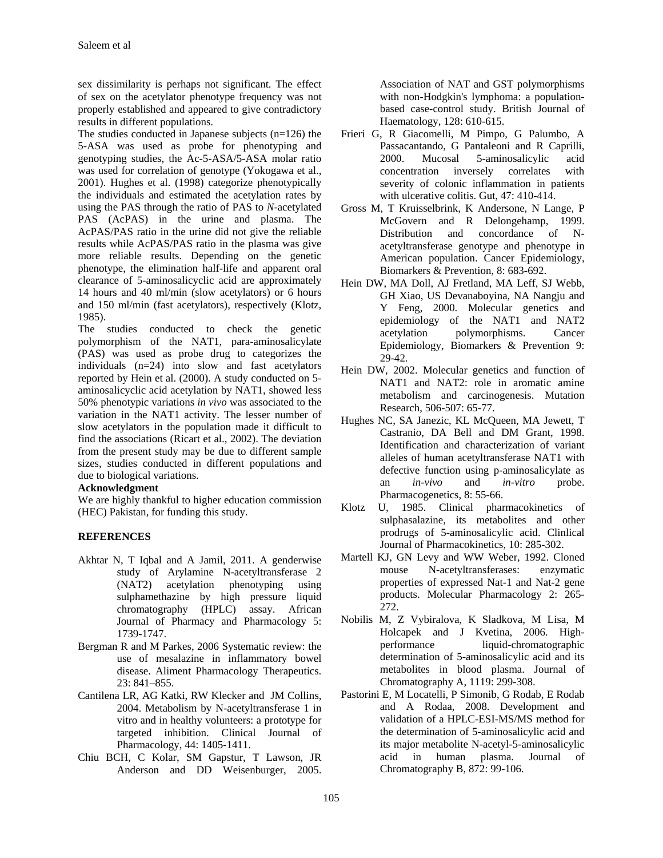sex dissimilarity is perhaps not significant. The effect of sex on the acetylator phenotype frequency was not properly established and appeared to give contradictory results in different populations.

The studies conducted in Japanese subjects  $(n=126)$  the 5-ASA was used as probe for phenotyping and genotyping studies, the Ac-5-ASA/5-ASA molar ratio was used for correlation of genotype (Yokogawa et al., 2001). Hughes et al. (1998) categorize phenotypically the individuals and estimated the acetylation rates by using the PAS through the ratio of PAS to *N*-acetylated PAS (AcPAS) in the urine and plasma. The AcPAS/PAS ratio in the urine did not give the reliable results while AcPAS/PAS ratio in the plasma was give more reliable results. Depending on the genetic phenotype, the elimination half-life and apparent oral clearance of 5-aminosalicyclic acid are approximately 14 hours and 40 ml/min (slow acetylators) or 6 hours and 150 ml/min (fast acetylators), respectively (Klotz, 1985).

The studies conducted to check the genetic polymorphism of the NAT1, para-aminosalicylate (PAS) was used as probe drug to categorizes the individuals (n=24) into slow and fast acetylators reported by Hein et al. (2000). A study conducted on 5 aminosalicyclic acid acetylation by NAT1, showed less 50% phenotypic variations *in vivo* was associated to the variation in the NAT1 activity. The lesser number of slow acetylators in the population made it difficult to find the associations (Ricart et al., 2002). The deviation from the present study may be due to different sample sizes, studies conducted in different populations and due to biological variations.

## **Acknowledgment**

We are highly thankful to higher education commission (HEC) Pakistan, for funding this study.

## **REFERENCES**

- Akhtar N, T Iqbal and A Jamil, 2011. A genderwise study of Arylamine N-acetyltransferase 2 (NAT2) acetylation phenotyping using sulphamethazine by high pressure liquid chromatography (HPLC) assay. African Journal of Pharmacy and Pharmacology 5: 1739-1747.
- Bergman R and M Parkes, 2006 Systematic review: the use of mesalazine in inflammatory bowel disease. Aliment Pharmacology Therapeutics. 23: 841–855.
- Cantilena LR, AG Katki, RW Klecker and JM Collins, 2004. Metabolism by N-acetyltransferase 1 in vitro and in healthy volunteers: a prototype for targeted inhibition. Clinical Journal of Pharmacology, 44: 1405-1411.
- Chiu BCH, C Kolar, SM Gapstur, T Lawson, JR Anderson and DD Weisenburger, 2005.

Association of NAT and GST polymorphisms with non-Hodgkin's lymphoma: a populationbased case-control study. British Journal of Haematology, 128: 610-615.

- Frieri G, R Giacomelli, M Pimpo, G Palumbo, A Passacantando, G Pantaleoni and R Caprilli, 2000. Mucosal 5-aminosalicylic acid concentration inversely correlates with severity of colonic inflammation in patients with ulcerative colitis. Gut, 47: 410-414.
- Gross M, T Kruisselbrink, K Andersone, N Lange, P McGovern and R Delongehamp, 1999. Distribution and concordance of Nacetyltransferase genotype and phenotype in American population. Cancer Epidemiology, Biomarkers & Prevention, 8: 683-692.
- Hein DW, MA Doll, AJ Fretland, MA Leff, SJ Webb, GH Xiao, US Devanaboyina, NA Nangju and Y Feng, 2000. Molecular genetics and epidemiology of the NAT1 and NAT2 acetylation polymorphisms. Cancer Epidemiology, Biomarkers & Prevention 9: 29-42.
- Hein DW, 2002. Molecular genetics and function of NAT1 and NAT2: role in aromatic amine metabolism and carcinogenesis. Mutation Research, 506-507: 65-77.
- Hughes NC, SA Janezic, KL McQueen, MA Jewett, T Castranio, DA Bell and DM Grant, 1998. Identification and characterization of variant alleles of human acetyltransferase NAT1 with defective function using p-aminosalicylate as an *in-vivo* and *in-vitro* probe. Pharmacogenetics, 8: 55-66.
- Klotz U, 1985. Clinical pharmacokinetics of sulphasalazine, its metabolites and other prodrugs of 5-aminosalicylic acid. Clinlical Journal of Pharmacokinetics, 10: 285-302.
- Martell KJ, GN Levy and WW Weber, 1992. Cloned mouse N-acetyltransferases: enzymatic properties of expressed Nat-1 and Nat-2 gene products. Molecular Pharmacology 2: 265- 272.
- Nobilis M, Z Vybiralova, K Sladkova, M Lisa, M Holcapek and J Kvetina, 2006. Highperformance liquid-chromatographic determination of 5-aminosalicylic acid and its metabolites in blood plasma. Journal of Chromatography A, 1119: 299-308.
- Pastorini E, M Locatelli, P Simonib, G Rodab, E Rodab and A Rodaa, 2008. Development and validation of a HPLC-ESI-MS/MS method for the determination of 5-aminosalicylic acid and its major metabolite N-acetyl-5-aminosalicylic acid in human plasma. Journal of Chromatography B, 872: 99-106.